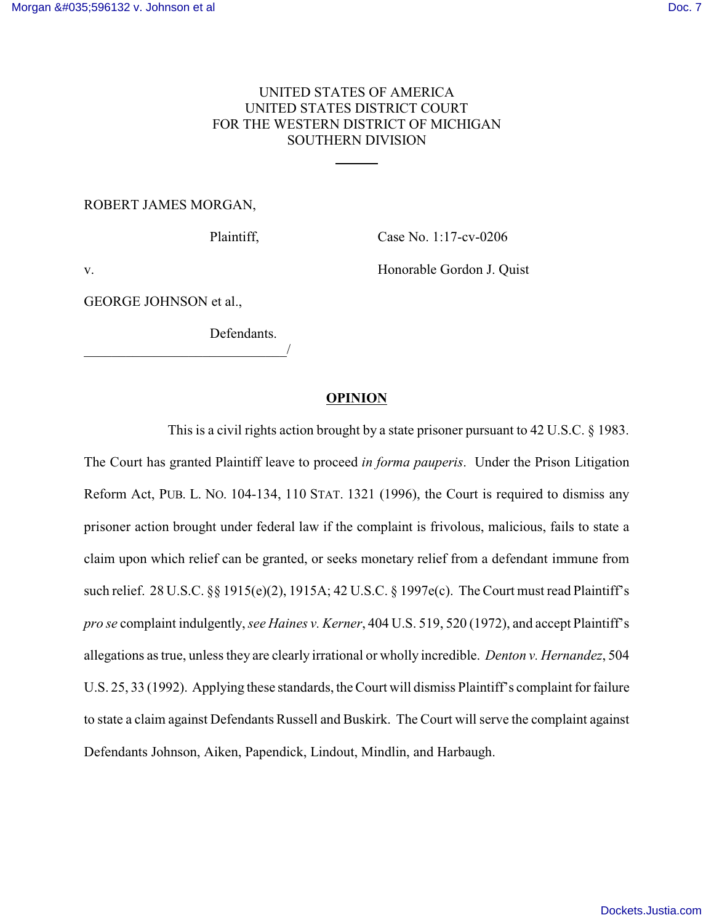# UNITED STATES OF AMERICA UNITED STATES DISTRICT COURT FOR THE WESTERN DISTRICT OF MICHIGAN SOUTHERN DIVISION

 $\overline{a}$ 

## ROBERT JAMES MORGAN,

Plaintiff, Case No. 1:17-cv-0206

v. Honorable Gordon J. Quist

GEORGE JOHNSON et al.,

\_\_\_\_\_\_\_\_\_\_\_\_\_\_\_\_\_\_\_\_\_\_\_\_\_\_\_\_\_/

Defendants.

## **OPINION**

This is a civil rights action brought by a state prisoner pursuant to 42 U.S.C. § 1983. The Court has granted Plaintiff leave to proceed *in forma pauperis*. Under the Prison Litigation Reform Act, PUB. L. NO. 104-134, 110 STAT. 1321 (1996), the Court is required to dismiss any prisoner action brought under federal law if the complaint is frivolous, malicious, fails to state a claim upon which relief can be granted, or seeks monetary relief from a defendant immune from such relief. 28 U.S.C. §§ 1915(e)(2), 1915A; 42 U.S.C. § 1997e(c). The Court must read Plaintiff's *pro se* complaint indulgently, *see Haines v. Kerner*, 404 U.S. 519, 520 (1972), and accept Plaintiff's allegations as true, unless they are clearly irrational or wholly incredible. *Denton v. Hernandez*, 504 U.S. 25, 33 (1992). Applying these standards, the Court will dismiss Plaintiff's complaint for failure to state a claim against Defendants Russell and Buskirk. The Court will serve the complaint against Defendants Johnson, Aiken, Papendick, Lindout, Mindlin, and Harbaugh.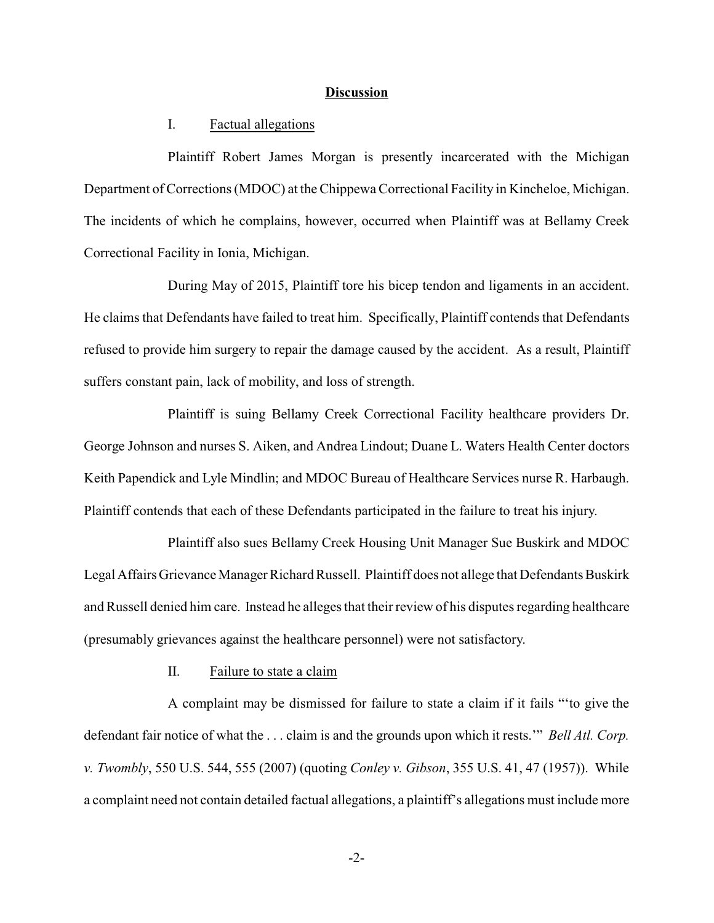#### **Discussion**

## I. Factual allegations

Plaintiff Robert James Morgan is presently incarcerated with the Michigan Department of Corrections (MDOC) at the Chippewa Correctional Facility in Kincheloe, Michigan. The incidents of which he complains, however, occurred when Plaintiff was at Bellamy Creek Correctional Facility in Ionia, Michigan.

During May of 2015, Plaintiff tore his bicep tendon and ligaments in an accident. He claims that Defendants have failed to treat him. Specifically, Plaintiff contends that Defendants refused to provide him surgery to repair the damage caused by the accident. As a result, Plaintiff suffers constant pain, lack of mobility, and loss of strength.

Plaintiff is suing Bellamy Creek Correctional Facility healthcare providers Dr. George Johnson and nurses S. Aiken, and Andrea Lindout; Duane L. Waters Health Center doctors Keith Papendick and Lyle Mindlin; and MDOC Bureau of Healthcare Services nurse R. Harbaugh. Plaintiff contends that each of these Defendants participated in the failure to treat his injury.

Plaintiff also sues Bellamy Creek Housing Unit Manager Sue Buskirk and MDOC Legal Affairs Grievance Manager Richard Russell. Plaintiff does not allege that Defendants Buskirk and Russell denied him care. Instead he alleges that their review of his disputes regarding healthcare (presumably grievances against the healthcare personnel) were not satisfactory.

II. Failure to state a claim

A complaint may be dismissed for failure to state a claim if it fails "'to give the defendant fair notice of what the . . . claim is and the grounds upon which it rests.'" *Bell Atl. Corp. v. Twombly*, 550 U.S. 544, 555 (2007) (quoting *Conley v. Gibson*, 355 U.S. 41, 47 (1957)). While a complaint need not contain detailed factual allegations, a plaintiff's allegations must include more

-2-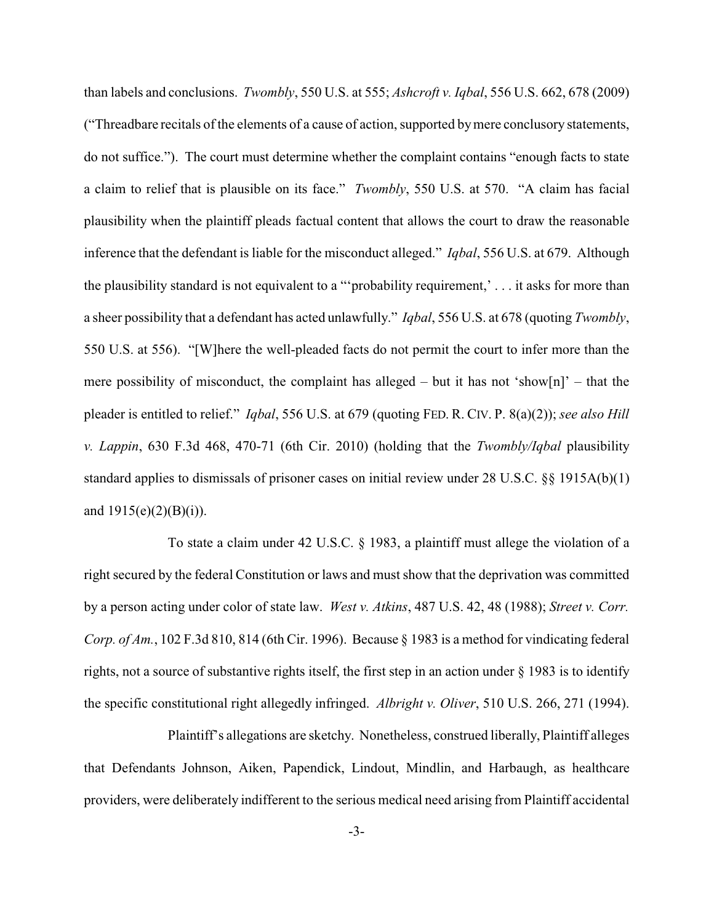than labels and conclusions. *Twombly*, 550 U.S. at 555; *Ashcroft v. Iqbal*, 556 U.S. 662, 678 (2009) ("Threadbare recitals of the elements of a cause of action, supported bymere conclusory statements, do not suffice."). The court must determine whether the complaint contains "enough facts to state a claim to relief that is plausible on its face." *Twombly*, 550 U.S. at 570. "A claim has facial plausibility when the plaintiff pleads factual content that allows the court to draw the reasonable inference that the defendant is liable for the misconduct alleged." *Iqbal*, 556 U.S. at 679. Although the plausibility standard is not equivalent to a "'probability requirement,' . . . it asks for more than a sheer possibility that a defendant has acted unlawfully." *Iqbal*, 556 U.S. at 678 (quoting *Twombly*, 550 U.S. at 556). "[W]here the well-pleaded facts do not permit the court to infer more than the mere possibility of misconduct, the complaint has alleged – but it has not 'show[n]' – that the pleader is entitled to relief." *Iqbal*, 556 U.S. at 679 (quoting FED. R. CIV. P. 8(a)(2)); *see also Hill v. Lappin*, 630 F.3d 468, 470-71 (6th Cir. 2010) (holding that the *Twombly/Iqbal* plausibility standard applies to dismissals of prisoner cases on initial review under 28 U.S.C. §§ 1915A(b)(1) and  $1915(e)(2)(B)(i)$ .

To state a claim under 42 U.S.C. § 1983, a plaintiff must allege the violation of a right secured by the federal Constitution or laws and must show that the deprivation was committed by a person acting under color of state law. *West v. Atkins*, 487 U.S. 42, 48 (1988); *Street v. Corr. Corp. of Am.*, 102 F.3d 810, 814 (6th Cir. 1996). Because § 1983 is a method for vindicating federal rights, not a source of substantive rights itself, the first step in an action under § 1983 is to identify the specific constitutional right allegedly infringed. *Albright v. Oliver*, 510 U.S. 266, 271 (1994).

Plaintiff's allegations are sketchy. Nonetheless, construed liberally, Plaintiff alleges that Defendants Johnson, Aiken, Papendick, Lindout, Mindlin, and Harbaugh, as healthcare providers, were deliberately indifferent to the serious medical need arising from Plaintiff accidental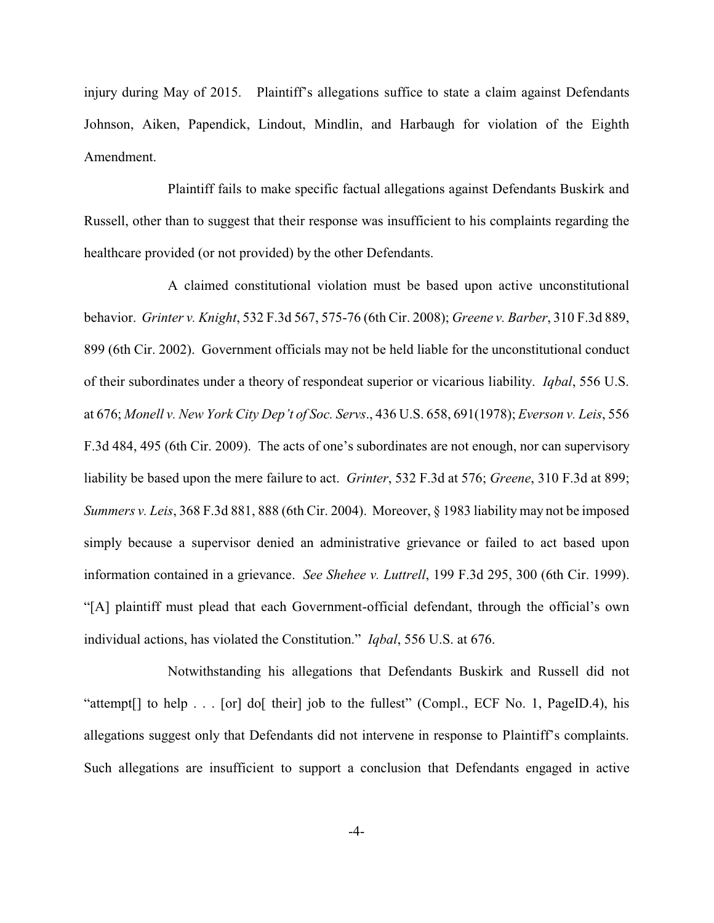injury during May of 2015. Plaintiff's allegations suffice to state a claim against Defendants Johnson, Aiken, Papendick, Lindout, Mindlin, and Harbaugh for violation of the Eighth Amendment.

Plaintiff fails to make specific factual allegations against Defendants Buskirk and Russell, other than to suggest that their response was insufficient to his complaints regarding the healthcare provided (or not provided) by the other Defendants.

A claimed constitutional violation must be based upon active unconstitutional behavior. *Grinter v. Knight*, 532 F.3d 567, 575-76 (6th Cir. 2008); *Greene v. Barber*, 310 F.3d 889, 899 (6th Cir. 2002). Government officials may not be held liable for the unconstitutional conduct of their subordinates under a theory of respondeat superior or vicarious liability. *Iqbal*, 556 U.S. at 676; *Monell v. New York City Dep't of Soc. Servs*., 436 U.S. 658, 691(1978); *Everson v. Leis*, 556 F.3d 484, 495 (6th Cir. 2009). The acts of one's subordinates are not enough, nor can supervisory liability be based upon the mere failure to act. *Grinter*, 532 F.3d at 576; *Greene*, 310 F.3d at 899; *Summers v. Leis*, 368 F.3d 881, 888 (6th Cir. 2004). Moreover, § 1983 liability may not be imposed simply because a supervisor denied an administrative grievance or failed to act based upon information contained in a grievance. *See Shehee v. Luttrell*, 199 F.3d 295, 300 (6th Cir. 1999). "[A] plaintiff must plead that each Government-official defendant, through the official's own individual actions, has violated the Constitution." *Iqbal*, 556 U.S. at 676.

Notwithstanding his allegations that Defendants Buskirk and Russell did not "attempt[] to help . . . [or] do[ their] job to the fullest" (Compl., ECF No. 1, PageID.4), his allegations suggest only that Defendants did not intervene in response to Plaintiff's complaints. Such allegations are insufficient to support a conclusion that Defendants engaged in active